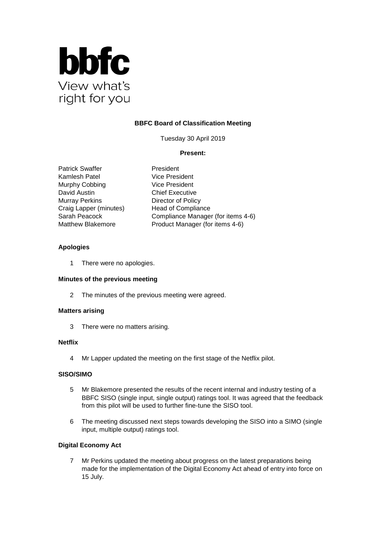

# **BBFC Board of Classification Meeting**

Tuesday 30 April 2019

## **Present:**

Patrick Swaffer President Kamlesh Patel Vice President Murphy Cobbing Vice President David Austin **Chief Executive** Murray Perkins **Director of Policy** Craig Lapper (minutes) Head of Compliance

Sarah Peacock Compliance Manager (for items 4-6) Matthew Blakemore **Product Manager (for items 4-6)** 

## **Apologies**

1 There were no apologies.

## **Minutes of the previous meeting**

2 The minutes of the previous meeting were agreed.

#### **Matters arising**

3 There were no matters arising.

#### **Netflix**

4 Mr Lapper updated the meeting on the first stage of the Netflix pilot.

## **SISO/SIMO**

- 5 Mr Blakemore presented the results of the recent internal and industry testing of a BBFC SISO (single input, single output) ratings tool. It was agreed that the feedback from this pilot will be used to further fine-tune the SISO tool.
- 6 The meeting discussed next steps towards developing the SISO into a SIMO (single input, multiple output) ratings tool.

## **Digital Economy Act**

7 Mr Perkins updated the meeting about progress on the latest preparations being made for the implementation of the Digital Economy Act ahead of entry into force on 15 July.